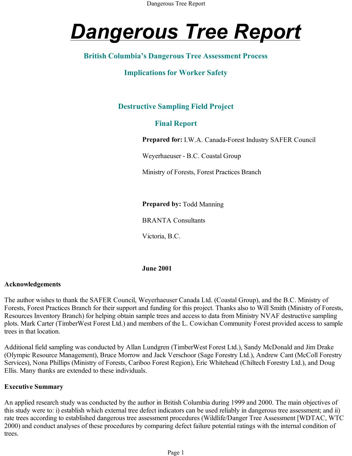# *Dangerous Tree Report*

# **British Columbia's Dangerous Tree Assessment Process**

# **Implications for Worker Safety**

# **Destructive Sampling Field Project**

# **Final Report**

**Prepared for:** I.W.A. Canada-Forest Industry SAFER Council

Weyerhaeuser - B.C. Coastal Group

Ministry of Forests, Forest Practices Branch

**Prepared by:** Todd Manning

BRANTA Consultants

Victoria, B.C.

#### **June 2001**

#### **Acknowledgements**

The author wishes to thank the SAFER Council, Weyerhaeuser Canada Ltd. (Coastal Group), and the B.C. Ministry of Forests, Forest Practices Branch for their support and funding for this project. Thanks also to Will Smith (Ministry of Forests, Resources Inventory Branch) for helping obtain sample trees and access to data from Ministry NVAF destructive sampling plots. Mark Carter (TimberWest Forest Ltd.) and members of the L. Cowichan Community Forest provided access to sample trees in that location.

Additional field sampling was conducted by Allan Lundgren (TimberWest Forest Ltd.), Sandy McDonald and Jim Drake (Olympic Resource Management), Bruce Morrow and Jack Verschoor (Sage Forestry Ltd.), Andrew Cant (McColl Forestry Services), Nona Phillips (Ministry of Forests, Cariboo Forest Region), Eric Whitehead (Chiltech Forestry Ltd.), and Doug Ellis. Many thanks are extended to these individuals.

#### **Executive Summary**

An applied research study was conducted by the author in British Columbia during 1999 and 2000. The main objectives of this study were to: i) establish which external tree defect indicators can be used reliably in dangerous tree assessment; and ii) rate trees according to established dangerous tree assessment procedures (Wildlife/Danger Tree Assessment [WDTAC, WTC 2000) and conduct analyses of these procedures by comparing defect failure potential ratings with the internal condition of trees.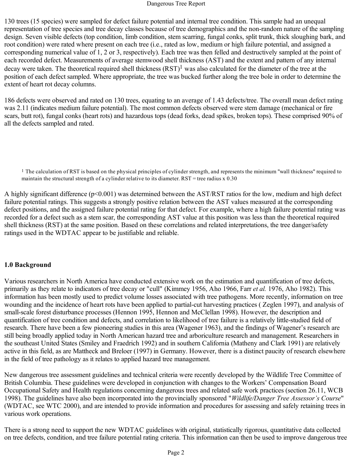130 trees (15 species) were sampled for defect failure potential and internal tree condition. This sample had an unequal representation of tree species and tree decay classes because of tree demographics and the non-random nature of the sampling design. Seven visible defects (top condition, limb condition, stem scarring, fungal conks, split trunk, thick sloughing bark, and root condition) were rated where present on each tree (i.e., rated as low, medium or high failure potential, and assigned a corresponding numerical value of 1, 2 or 3, respectively). Each tree was then felled and destructively sampled at the point of each recorded defect. Measurements of average stemwood shell thickness (AST) and the extent and pattern of any internal decay were taken. The theoretical required shell thickness  $(RST)^1$  was also calculated for the diameter of the tree at the position of each defect sampled. Where appropriate, the tree was bucked further along the tree bole in order to determine the extent of heart rot decay columns.

186 defects were observed and rated on 130 trees, equating to an average of 1.43 defects/tree. The overall mean defect rating was 2.11 (indicates medium failure potential). The most common defects observed were stem damage (mechanical or fire scars, butt rot), fungal conks (heart rots) and hazardous tops (dead forks, dead spikes, broken tops). These comprised 90% of all the defects sampled and rated.

1 The calculation of RST is based on the physical principles of cylinder strength, and represents the minimum "wall thickness" required to maintain the structural strength of a cylinder relative to its diameter. RST = tree radius x 0.30

A highly significant difference ( $p<0.001$ ) was determined between the AST/RST ratios for the low, medium and high defect failure potential ratings. This suggests a strongly positive relation between the AST values measured at the corresponding defect positions, and the assigned failure potential rating for that defect. For example, where a high failure potential rating was recorded for a defect such as a stem scar, the corresponding AST value at this position was less than the theoretical required shell thickness (RST) at the same position. Based on these correlations and related interpretations, the tree danger/safety ratings used in the WDTAC appear to be justifiable and reliable.

#### **1.0 Background**

Various researchers in North America have conducted extensive work on the estimation and quantification of tree defects, primarily as they relate to indicators of tree decay or "cull" (Kimmey 1956, Aho 1966, Farr *et al.* 1976, Aho 1982). This information has been mostly used to predict volume losses associated with tree pathogens. More recently, information on tree wounding and the incidence of heart rots have been applied to partial-cut harvesting practices ( Zeglen 1997), and analysis of small-scale forest disturbance processes (Hennon 1995, Hennon and McClellan 1998). However, the description and quantification of tree condition and defects, and correlation to likelihood of tree failure is a relatively little-studied field of research. There have been a few pioneering studies in this area (Wagener 1963), and the findings of Wagener's research are still being broadly applied today in North American hazard tree and arboriculture research and management. Researchers in the southeast United States (Smiley and Fraedrich 1992) and in southern California (Matheny and Clark 1991) are relatively active in this field, as are Mattheck and Breloer (1997) in Germany. However, there is a distinct paucity of research elsewhere in the field of tree pathology as it relates to applied hazard tree management.

New dangerous tree assessment guidelines and technical criteria were recently developed by the Wildlife Tree Committee of British Columbia. These guidelines were developed in conjunction with changes to the Workers' Compensation Board Occupational Safety and Health regulations concerning dangerous trees and related safe work practices (section 26.11, WCB 1998). The guidelines have also been incorporated into the provincially sponsored "*Wildlife/Danger Tree Assessor's Course*" (WDTAC, see WTC 2000), and are intended to provide information and procedures for assessing and safely retaining trees in various work operations.

There is a strong need to support the new WDTAC guidelines with original, statistically rigorous, quantitative data collected on tree defects, condition, and tree failure potential rating criteria. This information can then be used to improve dangerous tree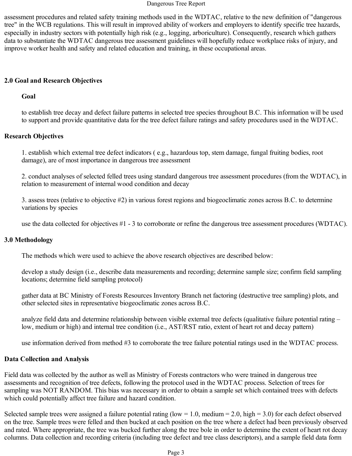assessment procedures and related safety training methods used in the WDTAC, relative to the new definition of "dangerous tree" in the WCB regulations. This will result in improved ability of workers and employers to identify specific tree hazards, especially in industry sectors with potentially high risk (e.g., logging, arboriculture). Consequently, research which gathers data to substantiate the WDTAC dangerous tree assessment guidelines will hopefully reduce workplace risks of injury, and improve worker health and safety and related education and training, in these occupational areas.

## **2.0 Goal and Research Objectives**

#### **Goal**

to establish tree decay and defect failure patterns in selected tree species throughout B.C. This information will be used to support and provide quantitative data for the tree defect failure ratings and safety procedures used in the WDTAC.

#### **Research Objectives**

1. establish which external tree defect indicators ( e.g., hazardous top, stem damage, fungal fruiting bodies, root damage), are of most importance in dangerous tree assessment

2. conduct analyses of selected felled trees using standard dangerous tree assessment procedures (from the WDTAC), in relation to measurement of internal wood condition and decay

3. assess trees (relative to objective #2) in various forest regions and biogeoclimatic zones across B.C. to determine variations by species

use the data collected for objectives #1 - 3 to corroborate or refine the dangerous tree assessment procedures (WDTAC).

#### **3.0 Methodology**

The methods which were used to achieve the above research objectives are described below:

develop a study design (i.e., describe data measurements and recording; determine sample size; confirm field sampling locations; determine field sampling protocol)

gather data at BC Ministry of Forests Resources Inventory Branch net factoring (destructive tree sampling) plots, and other selected sites in representative biogeoclimatic zones across B.C.

analyze field data and determine relationship between visible external tree defects (qualitative failure potential rating – low, medium or high) and internal tree condition (i.e., AST/RST ratio, extent of heart rot and decay pattern)

use information derived from method #3 to corroborate the tree failure potential ratings used in the WDTAC process.

## **Data Collection and Analysis**

Field data was collected by the author as well as Ministry of Forests contractors who were trained in dangerous tree assessments and recognition of tree defects, following the protocol used in the WDTAC process. Selection of trees for sampling was NOT RANDOM. This bias was necessary in order to obtain a sample set which contained trees with defects which could potentially affect tree failure and hazard condition.

Selected sample trees were assigned a failure potential rating (low = 1.0, medium = 2.0, high = 3.0) for each defect observed on the tree. Sample trees were felled and then bucked at each position on the tree where a defect had been previously observed and rated. Where appropriate, the tree was bucked further along the tree bole in order to determine the extent of heart rot decay columns. Data collection and recording criteria (including tree defect and tree class descriptors), and a sample field data form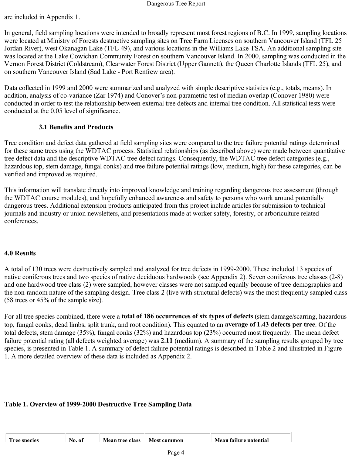are included in Appendix 1.

In general, field sampling locations were intended to broadly represent most forest regions of B.C. In 1999, sampling locations were located at Ministry of Forests destructive sampling sites on Tree Farm Licenses on southern Vancouver Island (TFL 25 Jordan River), west Okanagan Lake (TFL 49), and various locations in the Williams Lake TSA. An additional sampling site was located at the Lake Cowichan Community Forest on southern Vancouver Island. In 2000, sampling was conducted in the Vernon Forest District (Coldstream), Clearwater Forest District (Upper Gannett), the Queen Charlotte Islands (TFL 25), and on southern Vancouver Island (Sad Lake - Port Renfrew area).

Data collected in 1999 and 2000 were summarized and analyzed with simple descriptive statistics (e.g., totals, means). In addition, analysis of co-variance (Zar 1974) and Conover's non-parametric test of median overlap (Conover 1980) were conducted in order to test the relationship between external tree defects and internal tree condition. All statistical tests were conducted at the 0.05 level of significance.

#### **3.1 Benefits and Products**

Tree condition and defect data gathered at field sampling sites were compared to the tree failure potential ratings determined for these same trees using the WDTAC process. Statistical relationships (as described above) were made between quantitative tree defect data and the descriptive WDTAC tree defect ratings. Consequently, the WDTAC tree defect categories (e.g., hazardous top, stem damage, fungal conks) and tree failure potential ratings (low, medium, high) for these categories, can be verified and improved as required.

This information will translate directly into improved knowledge and training regarding dangerous tree assessment (through the WDTAC course modules), and hopefully enhanced awareness and safety to persons who work around potentially dangerous trees. Additional extension products anticipated from this project include articles for submission to technical journals and industry or union newsletters, and presentations made at worker safety, forestry, or arboriculture related conferences.

## **4.0 Results**

A total of 130 trees were destructively sampled and analyzed for tree defects in 1999-2000. These included 13 species of native coniferous trees and two species of native deciduous hardwoods (see Appendix 2). Seven coniferous tree classes (2-8) and one hardwood tree class (2) were sampled, however classes were not sampled equally because of tree demographics and the non-random nature of the sampling design. Tree class 2 (live with structural defects) was the most frequently sampled class (58 trees or 45% of the sample size).

For all tree species combined, there were a **total of 186 occurrences of six types of defects** (stem damage/scarring, hazardous top, fungal conks, dead limbs, split trunk, and root condition). This equated to an **average of 1.43 defects per tree**. Of the total defects, stem damage (35%), fungal conks (32%) and hazardous top (23%) occurred most frequently. The mean defect failure potential rating (all defects weighted average) was **2.11** (medium). A summary of the sampling results grouped by tree species, is presented in Table 1. A summary of defect failure potential ratings is described in Table 2 and illustrated in Figure 1. A more detailed overview of these data is included as Appendix 2.

## **Table 1. Overview of 1999-2000 Destructive Tree Sampling Data**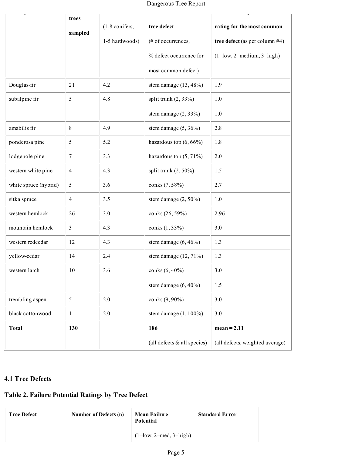Dangerous Tree Report

| $\mathbf{r}$ and $\mathbf{r}$ | trees          |                |                               |                                   |
|-------------------------------|----------------|----------------|-------------------------------|-----------------------------------|
|                               | sampled        | (1-8 conifers, | tree defect                   | rating for the most common        |
|                               |                | 1-5 hardwoods) | (# of occurrences,            | tree defect (as per column $#4$ ) |
|                               |                |                | % defect occurrence for       | $(1 = low, 2 = medium, 3 = high)$ |
|                               |                |                | most common defect)           |                                   |
| Douglas-fir                   | 21             | 4.2            | stem damage $(13, 48\%)$      | 1.9                               |
| subalpine fir                 | 5              | 4.8            | split trunk $(2, 33\%)$       | 1.0                               |
|                               |                |                | stem damage $(2, 33\%)$       | 1.0                               |
| amabilis fir                  | 8              | 4.9            | stem damage $(5, 36\%)$       | 2.8                               |
| ponderosa pine                | 5              | 5.2            | hazardous top $(6, 66\%)$     | 1.8                               |
| lodgepole pine                | $\overline{7}$ | 3.3            | hazardous top $(5, 71\%)$     | 2.0                               |
| western white pine            | $\overline{4}$ | 4.3            | split trunk $(2, 50\%)$       | 1.5                               |
| white spruce (hybrid)         | 5              | 3.6            | conks (7, 58%)                | 2.7                               |
| sitka spruce                  | $\overline{4}$ | 3.5            | stem damage $(2, 50\%)$       | 1.0                               |
| western hemlock               | 26             | 3.0            | conks (26, 59%)               | 2.96                              |
| mountain hemlock              | $\mathfrak{Z}$ | 4.3            | conks (1, 33%)                | 3.0                               |
| western redcedar              | 12             | 4.3            | stem damage $(6, 46\%)$       | 1.3                               |
| yellow-cedar                  | 14             | 2.4            | stem damage $(12, 71\%)$      | 1.3                               |
| western larch                 | 10             | 3.6            | conks (6, 40%)                | 3.0                               |
|                               |                |                | stem damage $(6, 40\%)$       | 1.5                               |
| trembling aspen               | 5              | 2.0            | conks (9, 90%)                | 3.0                               |
| black cottonwood              | $\mathbf{1}$   | 2.0            | stem damage $(1, 100\%)$      | 3.0                               |
| <b>Total</b>                  | 130            |                | 186                           | $mean = 2.11$                     |
|                               |                |                | (all defects $&$ all species) | (all defects, weighted average)   |

# **4.1 Tree Defects**

## **Table 2. Failure Potential Ratings by Tree Defect**

| <b>Tree Defect</b> | Number of Defects (n) | <b>Mean Failure</b><br>Potential | <b>Standard Error</b> |
|--------------------|-----------------------|----------------------------------|-----------------------|
|                    |                       | $(1 = low, 2 = med, 3 = high)$   |                       |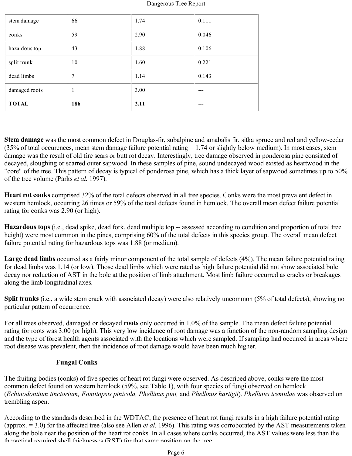| damaged roots<br><b>TOTAL</b> | 1<br>186 | 3.00<br>2.11 | ---<br>--- |
|-------------------------------|----------|--------------|------------|
|                               |          |              |            |
| dead limbs                    | 7        | 1.14         | 0.143      |
| split trunk                   | 10       | 1.60         | 0.221      |
| hazardous top                 | 43       | 1.88         | 0.106      |
| conks                         | 59       | 2.90         | 0.046      |
| stem damage                   | 66       | 1.74         | 0.111      |

**Stem damage** was the most common defect in Douglas-fir, subalpine and amabalis fir, sitka spruce and red and yellow-cedar (35% of total occurences, mean stem damage failure potential rating  $= 1.74$  or slightly below medium). In most cases, stem damage was the result of old fire scars or butt rot decay. Interestingly, tree damage observed in ponderosa pine consisted of decayed, sloughing or scarred outer sapwood. In these samples of pine, sound undecayed wood existed as heartwood in the "core" of the tree. This pattern of decay is typical of ponderosa pine, which has a thick layer of sapwood sometimes up to 50% of the tree volume (Parks *et al*. 1997).

**Heart rot conks** comprised 32% of the total defects observed in all tree species. Conks were the most prevalent defect in western hemlock, occurring 26 times or 59% of the total defects found in hemlock. The overall mean defect failure potential rating for conks was 2.90 (or high).

**Hazardous tops** (i.e., dead spike, dead fork, dead multiple top -- assessed according to condition and proportion of total tree height) were most common in the pines, comprising 60% of the total defects in this species group. The overall mean defect failure potential rating for hazardous tops was 1.88 (or medium).

**Large dead limbs** occurred as a fairly minor component of the total sample of defects (4%). The mean failure potential rating for dead limbs was 1.14 (or low). Those dead limbs which were rated as high failure potential did not show associated bole decay nor reduction of AST in the bole at the position of limb attachment. Most limb failure occurred as cracks or breakages along the limb longitudinal axes.

**Split trunks** (i.e., a wide stem crack with associated decay) were also relatively uncommon (5% of total defects), showing no particular pattern of occurrence.

For all trees observed, damaged or decayed **roots** only occurred in 1.0% of the sample. The mean defect failure potential rating for roots was 3.00 (or high). This very low incidence of root damage was a function of the non-random sampling design and the type of forest health agents associated with the locations which were sampled. If sampling had occurred in areas where root disease was prevalent, then the incidence of root damage would have been much higher.

#### **Fungal Conks**

The fruiting bodies (conks) of five species of heart rot fungi were observed. As described above, conks were the most common defect found on western hemlock (59%, see Table 1), with four species of fungi observed on hemlock (*Echinodontium tinctorium, Fomitopsis pinicola, Phellinus pini,* and *Phellinus hartigii*). *Phellinus tremulae* was observed on trembling aspen.

According to the standards described in the WDTAC, the presence of heart rot fungi results in a high failure potential rating (approx.  $=$  3.0) for the affected tree (also see Allen *et al.* 1996). This rating was corroborated by the AST measurements taken along the bole near the position of the heart rot conks. In all cases where conks occurred, the AST values were less than the theoretical required shell thicknesses (RST) for that same position on the tree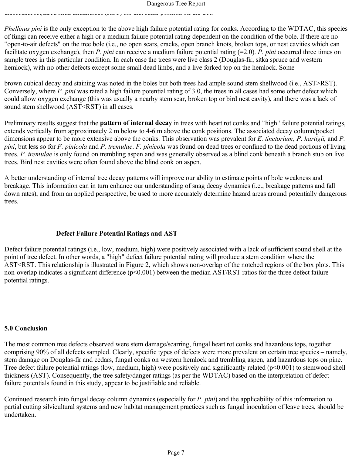*Phellinus pini* is the only exception to the above high failure potential rating for conks. According to the WDTAC, this species of fungi can receive either a high or a medium failure potential rating dependent on the condition of the bole. If there are no "open-to-air defects" on the tree bole (i.e., no open scars, cracks, open branch knots, broken tops, or nest cavities which can facilitate oxygen exchange), then *P. pini* can receive a medium failure potential rating (=2.0). *P. pini* occurred three times on sample trees in this particular condition. In each case the trees were live class 2 (Douglas-fir, sitka spruce and western hemlock), with no other defects except some small dead limbs, and a live forked top on the hemlock. Some

theoretical required shell thicknesses (RST) for that same position on the tree.

brown cubical decay and staining was noted in the boles but both trees had ample sound stem shellwood (i.e., AST>RST). Conversely, where *P. pini* was rated a high failure potential rating of 3.0, the trees in all cases had some other defect which could allow oxygen exchange (this was usually a nearby stem scar, broken top or bird nest cavity), and there was a lack of sound stem shellwood (AST<RST) in all cases.

Preliminary results suggest that the **pattern of internal decay** in trees with heart rot conks and "high" failure potential ratings, extends vertically from approximately 2 m below to 4-6 m above the conk positions. The associated decay column/pocket dimensions appear to be more extensive above the conks. This observation was prevalent for *E. tinctorium, P. hartigii,* and *P. pini*, but less so for *F. pinicola* and *P. tremulae*. *F. pinicola* was found on dead trees or confined to the dead portions of living trees. *P. tremulae* is only found on trembling aspen and was generally observed as a blind conk beneath a branch stub on live trees. Bird nest cavities were often found above the blind conk on aspen.

A better understanding of internal tree decay patterns will improve our ability to estimate points of bole weakness and breakage. This information can in turn enhance our understanding of snag decay dynamics (i.e., breakage patterns and fall down rates), and from an applied perspective, be used to more accurately determine hazard areas around potentially dangerous trees.

#### **Defect Failure Potential Ratings and AST**

Defect failure potential ratings (i.e., low, medium, high) were positively associated with a lack of sufficient sound shell at the point of tree defect. In other words, a "high" defect failure potential rating will produce a stem condition where the AST<RST. This relationship is illustrated in Figure 2, which shows non-overlap of the notched regions of the box plots. This non-overlap indicates a significant difference (p<0.001) between the median AST/RST ratios for the three defect failure potential ratings.

#### **5.0 Conclusion**

The most common tree defects observed were stem damage/scarring, fungal heart rot conks and hazardous tops, together comprising 90% of all defects sampled. Clearly, specific types of defects were more prevalent on certain tree species – namely, stem damage on Douglas-fir and cedars, fungal conks on western hemlock and trembling aspen, and hazardous tops on pine. Tree defect failure potential ratings (low, medium, high) were positively and significantly related (p<0.001) to stemwood shell thickness (AST). Consequently, the tree safety/danger ratings (as per the WDTAC) based on the interpretation of defect failure potentials found in this study, appear to be justifiable and reliable.

Continued research into fungal decay column dynamics (especially for *P. pini*) and the applicability of this information to partial cutting silvicultural systems and new habitat management practices such as fungal inoculation of leave trees, should be undertaken.